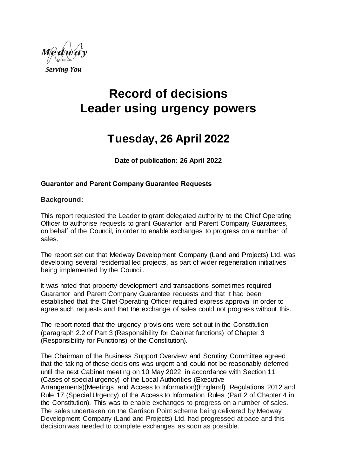

# **Record of decisions Leader using urgency powers**

# **Tuesday, 26 April 2022**

**Date of publication: 26 April 2022**

## **Guarantor and Parent Company Guarantee Requests**

#### **Background:**

This report requested the Leader to grant delegated authority to the Chief Operating Officer to authorise requests to grant Guarantor and Parent Company Guarantees, on behalf of the Council, in order to enable exchanges to progress on a number of sales.

The report set out that Medway Development Company (Land and Projects) Ltd. was developing several residential led projects, as part of wider regeneration initiatives being implemented by the Council.

It was noted that property development and transactions sometimes required Guarantor and Parent Company Guarantee requests and that it had been established that the Chief Operating Officer required express approval in order to agree such requests and that the exchange of sales could not progress without this.

The report noted that the urgency provisions were set out in the Constitution (paragraph 2.2 of Part 3 (Responsibility for Cabinet functions) of Chapter 3 (Responsibility for Functions) of the Constitution).

The Chairman of the Business Support Overview and Scrutiny Committee agreed that the taking of these decisions was urgent and could not be reasonably deferred until the next Cabinet meeting on 10 May 2022, in accordance with Section 11 (Cases of special urgency) of the Local Authorities (Executive Arrangements)(Meetings and Access to Information)(England) Regulations 2012 and Rule 17 (Special Urgency) of the Access to Information Rules (Part 2 of Chapter 4 in the Constitution). This was to enable exchanges to progress on a number of sales. The sales undertaken on the Garrison Point scheme being delivered by Medway Development Company (Land and Projects) Ltd. had progressed at pace and this decision was needed to complete exchanges as soon as possible.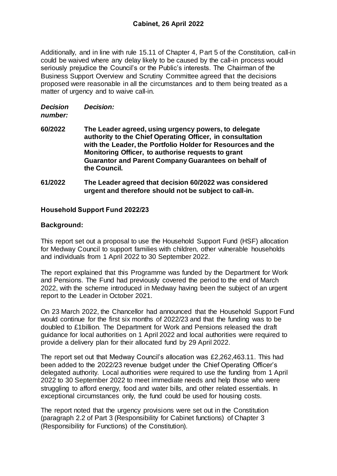Additionally, and in line with rule 15.11 of Chapter 4, Part 5 of the Constitution, call-in could be waived where any delay likely to be caused by the call-in process would seriously prejudice the Council's or the Public's interests. The Chairman of the Business Support Overview and Scrutiny Committee agreed that the decisions proposed were reasonable in all the circumstances and to them being treated as a matter of urgency and to waive call-in.

*Decision Decision:*

#### *number:*

- **60/2022 The Leader agreed, using urgency powers, to delegate authority to the Chief Operating Officer, in consultation with the Leader, the Portfolio Holder for Resources and the Monitoring Officer, to authorise requests to grant Guarantor and Parent Company Guarantees on behalf of the Council.**
- **61/2022 The Leader agreed that decision 60/2022 was considered urgent and therefore should not be subject to call-in.**

# **Household Support Fund 2022/23**

## **Background:**

This report set out a proposal to use the Household Support Fund (HSF) allocation for Medway Council to support families with children, other vulnerable households and individuals from 1 April 2022 to 30 September 2022.

The report explained that this Programme was funded by the Department for Work and Pensions. The Fund had previously covered the period to the end of March 2022, with the scheme introduced in Medway having been the subject of an urgent report to the Leader in October 2021.

On 23 March 2022, the Chancellor had announced that the Household Support Fund would continue for the first six months of 2022/23 and that the funding was to be doubled to £1billion. The Department for Work and Pensions released the draft guidance for local authorities on 1 April 2022 and local authorities were required to provide a delivery plan for their allocated fund by 29 April 2022.

The report set out that Medway Council's allocation was £2,262,463.11. This had been added to the 2022/23 revenue budget under the Chief Operating Officer's delegated authority. Local authorities were required to use the funding from 1 April 2022 to 30 September 2022 to meet immediate needs and help those who were struggling to afford energy, food and water bills, and other related essentials. In exceptional circumstances only, the fund could be used for housing costs.

The report noted that the urgency provisions were set out in the Constitution (paragraph 2.2 of Part 3 (Responsibility for Cabinet functions) of Chapter 3 (Responsibility for Functions) of the Constitution).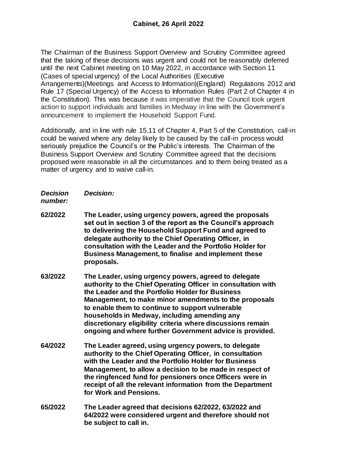The Chairman of the Business Support Overview and Scrutiny Committee agreed that the taking of these decisions was urgent and could not be reasonably deferred until the next Cabinet meeting on 10 May 2022, in accordance with Section 11 (Cases of special urgency) of the Local Authorities (Executive

Arrangements)(Meetings and Access to Information)(England) Regulations 2012 and Rule 17 (Special Urgency) of the Access to Information Rules (Part 2 of Chapter 4 in the Constitution). This was because it was imperative that the Council took urgent action to support individuals and families in Medway in line with the Government's announcement to implement the Household Support Fund.

Additionally, and in line with rule 15.11 of Chapter 4, Part 5 of the Constitution, call-in could be waived where any delay likely to be caused by the call-in process would seriously prejudice the Council's or the Public's interests. The Chairman of the Business Support Overview and Scrutiny Committee agreed that the decisions proposed were reasonable in all the circumstances and to them being treated as a matter of urgency and to waive call-in.

*Decision Decision:*

*number:*

- **62/2022 The Leader, using urgency powers, agreed the proposals set out in section 3 of the report as the Council's approach to delivering the Household Support Fund and agreed to delegate authority to the Chief Operating Officer, in consultation with the Leader and the Portfolio Holder for Business Management, to finalise and implement these proposals.**
- **63/2022 The Leader, using urgency powers, agreed to delegate authority to the Chief Operating Officer in consultation with the Leader and the Portfolio Holder for Business Management, to make minor amendments to the proposals to enable them to continue to support vulnerable households in Medway, including amending any discretionary eligibility criteria where discussions remain ongoing and where further Government advice is provided.**
- **64/2022 The Leader agreed, using urgency powers, to delegate authority to the Chief Operating Officer, in consultation with the Leader and the Portfolio Holder for Business Management, to allow a decision to be made in respect of the ringfenced fund for pensioners once Officers were in receipt of all the relevant information from the Department for Work and Pensions.**
- **65/2022 The Leader agreed that decisions 62/2022, 63/2022 and 64/2022 were considered urgent and therefore should not be subject to call in.**